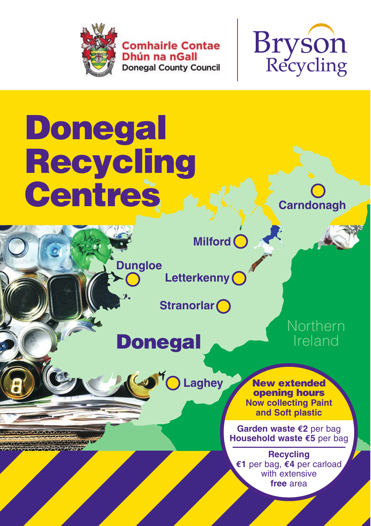

**Comhairle Contae** Dhún na nGall **Donegal County Council** 



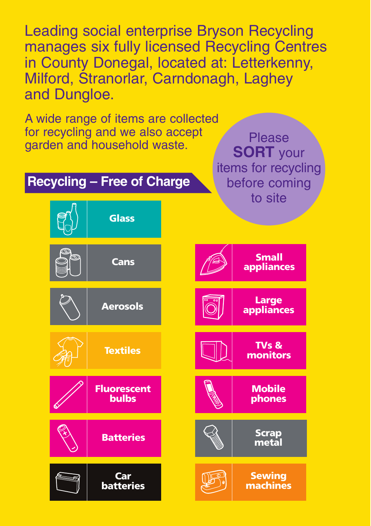Leading social enterprise Bryson Recycling manages six fully licensed Recycling Centres in County Donegal, located at: Letterkenny, Milford, Stranorlar, Carndonagh, Laghey and Dungloe.

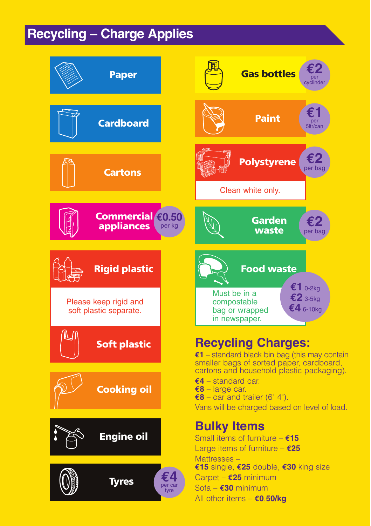## **Recycling – Charge Applies**

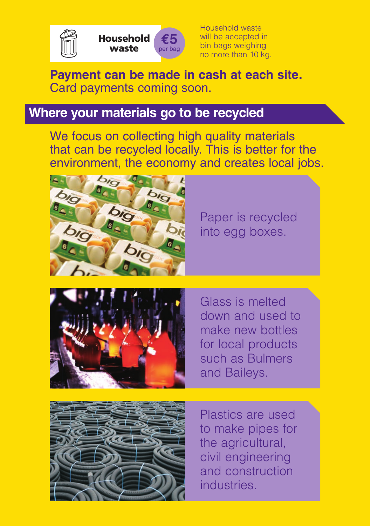



Household waste will be accepted in bin bags weighing no more than 10 kg.

## **Payment can be made in cash at each site.** Card payments coming soon.

## **Where your materials go to be recycled**

We focus on collecting high quality materials that can be recycled locally. This is better for the environment, the economy and creates local jobs.



Paper is recycled into egg boxes.



Glass is melted down and used to make new bottles for local products such as Bulmers and Baileys.



Plastics are used to make pipes for the agricultural, civil engineering and construction industries.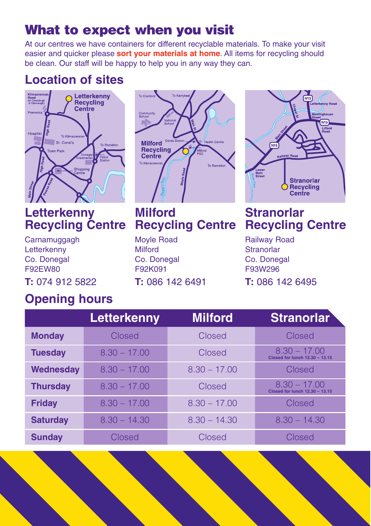# What to expect when you visit

At our centres we have containers for different recyclable materials. To make your visit easier and quicker please **sort your materials at home**. All items for recycling should be clean. Our staff will be happy to help you in any way they can.

## **Location of sites**



## **Letterkenny Recycling Centre**

**Carnamuggagh Letterkenny** Co. Donegal F92EW80

**T:** 074 912 5822

# To Cranford **To Kerryk** Commu<br>School **Milford Recycling** Centre **To Kilmacre**

**Milford Recycling Centre**

Moyle Road Milford Co. Donegal F92K091

**T:** 086 142 6491



## **Stranorlar Recycling Centre**

Railway Road **Stranorlar** Co. Donegal F93W296

**T:** 086 142 6495

## **Opening hours**

|                 | Letterkenny    | <b>Milford</b> | <b>Stranorlar</b>                                       |
|-----------------|----------------|----------------|---------------------------------------------------------|
| <b>Monday</b>   | Closed         | Closed         | Closed                                                  |
| <b>Tuesday</b>  | $8.30 - 17.00$ | Closed         | $8.30 - 17.00$<br><b>Closed for lunch 12.30 - 13.15</b> |
| Wednesday       | $8.30 - 17.00$ | $8.30 - 17.00$ | Closed                                                  |
| <b>Thursday</b> | $8.30 - 17.00$ | Closed         | $8.30 - 17.00$<br>Closed for lunch 12.30 - 13.15        |
| <b>Friday</b>   | $8.30 - 17.00$ | $8.30 - 17.00$ | Closed                                                  |
| <b>Saturday</b> | $8.30 - 14.30$ | $8.30 - 14.30$ | $8.30 - 14.30$                                          |
| <b>Sunday</b>   | Closed         | Closed         | Closed                                                  |